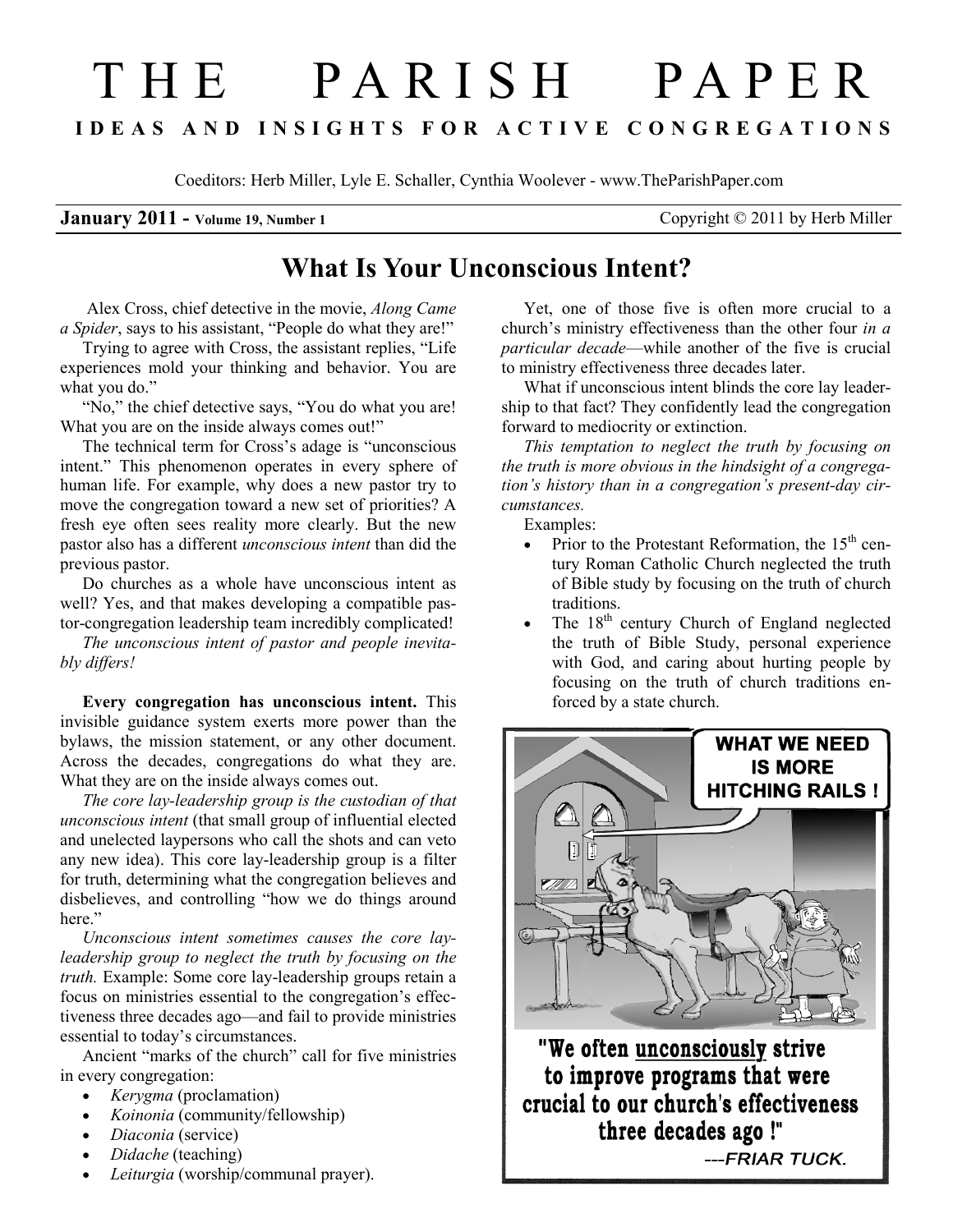## T H E P A R I S H P A P E R I D E A S A N D I N S I G H T S F O R A C T I V E C O N G R E G A T I O N S

Coeditors: Herb Miller, Lyle E. Schaller, Cynthia Woolever - www.TheParishPaper.com

## **January 2011** - Volume 19, Number 1 Copyright © 2011 by Herb Miller

## What Is Your Unconscious Intent?

 Alex Cross, chief detective in the movie, Along Came a Spider, says to his assistant, "People do what they are!"

Trying to agree with Cross, the assistant replies, "Life experiences mold your thinking and behavior. You are what you do."

"No," the chief detective says, "You do what you are!" What you are on the inside always comes out!"

The technical term for Cross's adage is "unconscious intent." This phenomenon operates in every sphere of human life. For example, why does a new pastor try to move the congregation toward a new set of priorities? A fresh eye often sees reality more clearly. But the new pastor also has a different unconscious intent than did the previous pastor.

Do churches as a whole have unconscious intent as well? Yes, and that makes developing a compatible pastor-congregation leadership team incredibly complicated!

The unconscious intent of pastor and people inevitably differs!

Every congregation has unconscious intent. This invisible guidance system exerts more power than the bylaws, the mission statement, or any other document. Across the decades, congregations do what they are. What they are on the inside always comes out.

The core lay-leadership group is the custodian of that unconscious intent (that small group of influential elected and unelected laypersons who call the shots and can veto any new idea). This core lay-leadership group is a filter for truth, determining what the congregation believes and disbelieves, and controlling "how we do things around here."

Unconscious intent sometimes causes the core layleadership group to neglect the truth by focusing on the truth. Example: Some core lay-leadership groups retain a focus on ministries essential to the congregation's effectiveness three decades ago—and fail to provide ministries essential to today's circumstances.

Ancient "marks of the church" call for five ministries in every congregation:

- *Kerygma* (proclamation)
- *Koinonia* (community/fellowship)
- *Diaconia* (service)
- Didache (teaching)
- Leiturgia (worship/communal prayer).

Yet, one of those five is often more crucial to a church's ministry effectiveness than the other four in a particular decade—while another of the five is crucial to ministry effectiveness three decades later.

What if unconscious intent blinds the core lay leadership to that fact? They confidently lead the congregation forward to mediocrity or extinction.

This temptation to neglect the truth by focusing on the truth is more obvious in the hindsight of a congregation's history than in a congregation's present-day circumstances.

Examples:

- Prior to the Protestant Reformation, the  $15<sup>th</sup>$  century Roman Catholic Church neglected the truth of Bible study by focusing on the truth of church traditions.
- The 18<sup>th</sup> century Church of England neglected the truth of Bible Study, personal experience with God, and caring about hurting people by focusing on the truth of church traditions enforced by a state church.